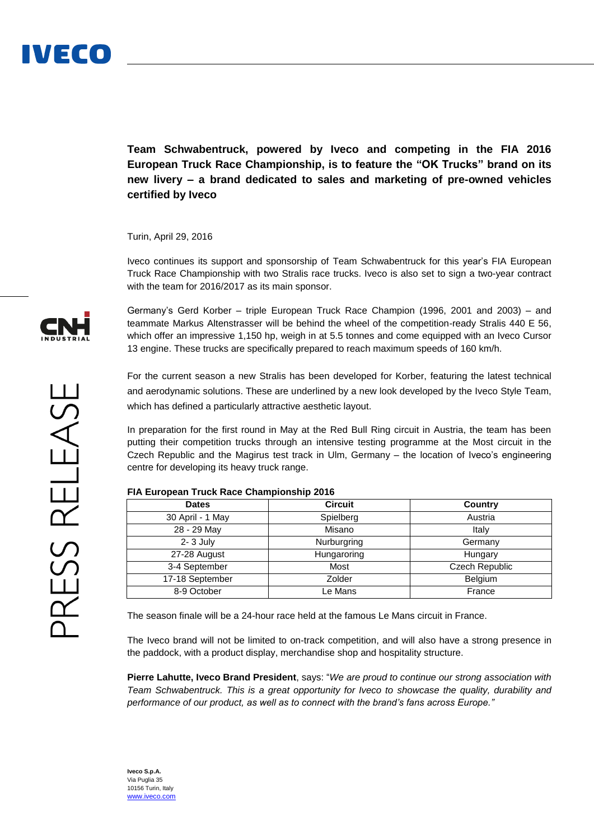

**Team Schwabentruck, powered by Iveco and competing in the FIA 2016 European Truck Race Championship, is to feature the "OK Trucks" brand on its new livery – a brand dedicated to sales and marketing of pre-owned vehicles certified by Iveco**

Turin, April 29, 2016

Iveco continues its support and sponsorship of Team Schwabentruck for this year's FIA European Truck Race Championship with two Stralis race trucks. Iveco is also set to sign a two-year contract with the team for 2016/2017 as its main sponsor.

Germany's Gerd Korber – triple European Truck Race Champion (1996, 2001 and 2003) – and teammate Markus Altenstrasser will be behind the wheel of the competition-ready Stralis 440 E 56, which offer an impressive 1,150 hp, weigh in at 5.5 tonnes and come equipped with an Iveco Cursor 13 engine. These trucks are specifically prepared to reach maximum speeds of 160 km/h.

For the current season a new Stralis has been developed for Korber, featuring the latest technical and aerodynamic solutions. These are underlined by a new look developed by the Iveco Style Team, which has defined a particularly attractive aesthetic layout.

In preparation for the first round in May at the Red Bull Ring circuit in Austria, the team has been putting their competition trucks through an intensive testing programme at the Most circuit in the Czech Republic and the Magirus test track in Ulm, Germany – the location of Iveco's engineering centre for developing its heavy truck range.

## **FIA European Truck Race Championship 2016**

| <b>Dates</b>     | <b>Circuit</b> | Country        |
|------------------|----------------|----------------|
| 30 April - 1 May | Spielberg      | Austria        |
| 28 - 29 May      | Misano         | Italy          |
| $2 - 3$ July     | Nurburgring    | Germany        |
| 27-28 August     | Hungaroring    | Hungary        |
| 3-4 September    | Most           | Czech Republic |
| 17-18 September  | Zolder         | <b>Belgium</b> |
| 8-9 October      | Le Mans        | France         |

The season finale will be a 24-hour race held at the famous Le Mans circuit in France.

The Iveco brand will not be limited to on-track competition, and will also have a strong presence in the paddock, with a product display, merchandise shop and hospitality structure.

**Pierre Lahutte, Iveco Brand President**, says: "*We are proud to continue our strong association with Team Schwabentruck. This is a great opportunity for Iveco to showcase the quality, durability and performance of our product, as well as to connect with the brand's fans across Europe."*



**Iveco S.p.A.** Via Puglia 35 10156 Turin, Italy [www.iveco.com](http://www.iveco.com/)